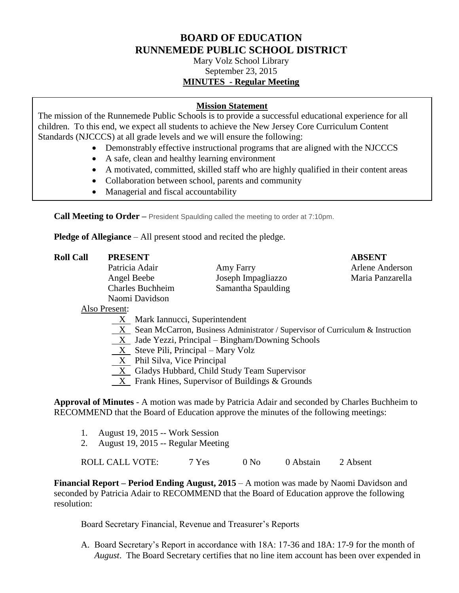# **BOARD OF EDUCATION RUNNEMEDE PUBLIC SCHOOL DISTRICT**

Mary Volz School Library September 23, 2015 **MINUTES - Regular Meeting**

# **Mission Statement**

The mission of the Runnemede Public Schools is to provide a successful educational experience for all children. To this end, we expect all students to achieve the New Jersey Core Curriculum Content Standards (NJCCCS) at all grade levels and we will ensure the following:

- Demonstrably effective instructional programs that are aligned with the NJCCCS
- A safe, clean and healthy learning environment
- A motivated, committed, skilled staff who are highly qualified in their content areas
- Collaboration between school, parents and community
- Managerial and fiscal accountability

**Call Meeting to Order –** President Spaulding called the meeting to order at 7:10pm.

**Pledge of Allegiance** – All present stood and recited the pledge.

| <b>Roll Call</b> | <b>PRESENT</b>                                                                   |                    | <b>ABSENT</b>    |  |  |  |
|------------------|----------------------------------------------------------------------------------|--------------------|------------------|--|--|--|
|                  | Patricia Adair                                                                   | Amy Farry          | Arlene Anderson  |  |  |  |
|                  | Angel Beebe                                                                      | Joseph Impagliazzo | Maria Panzarella |  |  |  |
|                  | <b>Charles Buchheim</b>                                                          | Samantha Spaulding |                  |  |  |  |
|                  | Naomi Davidson                                                                   |                    |                  |  |  |  |
|                  | Also Present:                                                                    |                    |                  |  |  |  |
|                  | X Mark Iannucci, Superintendent                                                  |                    |                  |  |  |  |
|                  | X Sean McCarron, Business Administrator / Supervisor of Curriculum & Instruction |                    |                  |  |  |  |
|                  | $X$ Jade Yezzi, Principal – Bingham/Downing Schools                              |                    |                  |  |  |  |

- X Steve Pili, Principal Mary Volz
- X Phil Silva, Vice Principal
- $\overline{X}$  Gladys Hubbard, Child Study Team Supervisor
- X Frank Hines, Supervisor of Buildings & Grounds

**Approval of Minutes** - A motion was made by Patricia Adair and seconded by Charles Buchheim to RECOMMEND that the Board of Education approve the minutes of the following meetings:

- 1. August 19, 2015 -- Work Session
- 2. August 19, 2015 -- Regular Meeting

ROLL CALL VOTE: 7 Yes 0 No 0 Abstain 2 Absent

**Financial Report – Period Ending August, 2015** – A motion was made by Naomi Davidson and seconded by Patricia Adair to RECOMMEND that the Board of Education approve the following resolution:

Board Secretary Financial, Revenue and Treasurer's Reports

A. Board Secretary's Report in accordance with 18A: 17-36 and 18A: 17-9 for the month of *August*. The Board Secretary certifies that no line item account has been over expended in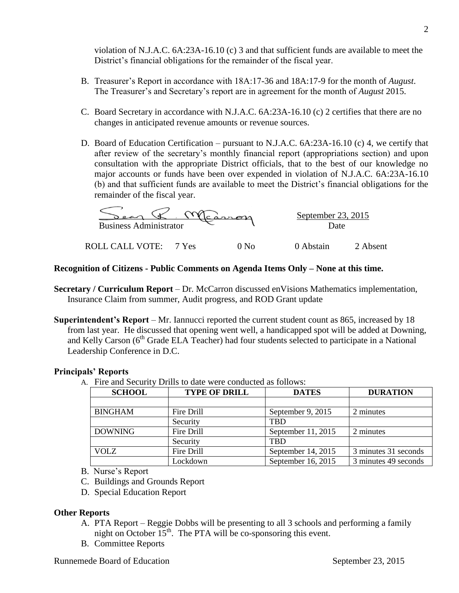violation of N.J.A.C. 6A:23A-16.10 (c) 3 and that sufficient funds are available to meet the District's financial obligations for the remainder of the fiscal year.

- B. Treasurer's Report in accordance with 18A:17-36 and 18A:17-9 for the month of *August*. The Treasurer's and Secretary's report are in agreement for the month of *August* 2015.
- C. Board Secretary in accordance with N.J.A.C. 6A:23A-16.10 (c) 2 certifies that there are no changes in anticipated revenue amounts or revenue sources.
- D. Board of Education Certification pursuant to N.J.A.C. 6A:23A-16.10 (c) 4, we certify that after review of the secretary's monthly financial report (appropriations section) and upon consultation with the appropriate District officials, that to the best of our knowledge no major accounts or funds have been over expended in violation of N.J.A.C. 6A:23A-16.10 (b) and that sufficient funds are available to meet the District's financial obligations for the remainder of the fiscal year.



## **Recognition of Citizens - Public Comments on Agenda Items Only – None at this time.**

- **Secretary / Curriculum Report** Dr. McCarron discussed enVisions Mathematics implementation, Insurance Claim from summer, Audit progress, and ROD Grant update
- **Superintendent's Report** Mr. Iannucci reported the current student count as 865, increased by 18 from last year. He discussed that opening went well, a handicapped spot will be added at Downing, and Kelly Carson (6th Grade ELA Teacher) had four students selected to participate in a National Leadership Conference in D.C.

#### **Principals' Reports**

A. Fire and Security Drills to date were conducted as follows:

| <b>SCHOOL</b>  | <b>TYPE OF DRILL</b> | <b>DATES</b>       | <b>DURATION</b>      |
|----------------|----------------------|--------------------|----------------------|
|                |                      |                    |                      |
| <b>BINGHAM</b> | Fire Drill           | September 9, 2015  | 2 minutes            |
|                | Security             | <b>TBD</b>         |                      |
| <b>DOWNING</b> | Fire Drill           | September 11, 2015 | 2 minutes            |
|                | Security             | <b>TRD</b>         |                      |
| <b>VOLZ</b>    | Fire Drill           | September 14, 2015 | 3 minutes 31 seconds |
|                | Lockdown             | September 16, 2015 | 3 minutes 49 seconds |

- B. Nurse's Report
- C. Buildings and Grounds Report
- D. Special Education Report

# **Other Reports**

- A. PTA Report Reggie Dobbs will be presenting to all 3 schools and performing a family night on October  $15<sup>th</sup>$ . The PTA will be co-sponsoring this event.
- B. Committee Reports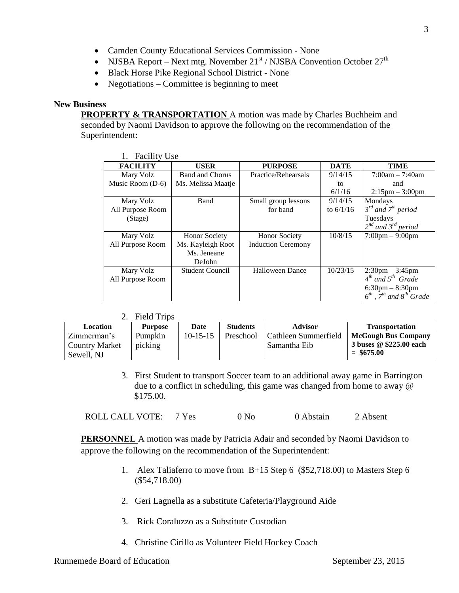- Camden County Educational Services Commission None
- NJSBA Report Next mtg. November  $21^{st}$  / NJSBA Convention October  $27^{th}$
- Black Horse Pike Regional School District None
- Negotiations Committee is beginning to meet

# **New Business**

**PROPERTY & TRANSPORTATION** A motion was made by Charles Buchheim and seconded by Naomi Davidson to approve the following on the recommendation of the Superintendent:

| 1. Facility Use  |                        |                           |             |                                        |  |  |
|------------------|------------------------|---------------------------|-------------|----------------------------------------|--|--|
| <b>FACILITY</b>  | <b>USER</b>            | <b>PURPOSE</b>            | <b>DATE</b> | <b>TIME</b>                            |  |  |
| Mary Volz        | <b>Band and Chorus</b> | Practice/Rehearsals       | 9/14/15     | $7:00am - 7:40am$                      |  |  |
| Music Room (D-6) | Ms. Melissa Maatje     |                           | to          | and                                    |  |  |
|                  |                        |                           | 6/1/16      | $2:15$ pm $-3:00$ pm                   |  |  |
| Mary Volz        | <b>Band</b>            | Small group lessons       | 9/14/15     | Mondays                                |  |  |
| All Purpose Room |                        | for band                  | to $6/1/16$ | $3^{rd}$ and $7^{th}$ period           |  |  |
| (Stage)          |                        |                           |             | Tuesdays                               |  |  |
|                  |                        |                           |             | $2^{nd}$ and $3^{rd}$ period           |  |  |
| Mary Volz        | <b>Honor Society</b>   | <b>Honor Society</b>      | 10/8/15     | $7:00 \text{pm} - 9:00 \text{pm}$      |  |  |
| All Purpose Room | Ms. Kayleigh Root      | <b>Induction Ceremony</b> |             |                                        |  |  |
|                  | Ms. Jeneane            |                           |             |                                        |  |  |
|                  | DeJohn                 |                           |             |                                        |  |  |
| Mary Volz        | Student Council        | Halloween Dance           | 10/23/15    | $2:30 \text{pm} - 3:45 \text{pm}$      |  |  |
| All Purpose Room |                        |                           |             | $4th$ and $5th$ Grade                  |  |  |
|                  |                        |                           |             | $6:30 \text{pm} - 8:30 \text{pm}$      |  |  |
|                  |                        |                           |             | $6^{th}$ , $7^{th}$ and $8^{th}$ Grade |  |  |

## 2. Field Trips

| Location              | <b>Purpose</b> | Date       | <b>Students</b> | <b>Advisor</b>       | <b>Transportation</b>   |
|-----------------------|----------------|------------|-----------------|----------------------|-------------------------|
| Zimmerman's           | Pumpkin        | $10-15-15$ | Preschool       | Cathleen Summerfield | McGough Bus Company     |
| <b>Country Market</b> | picking        |            |                 | Samantha Eib         | 3 buses @ \$225.00 each |
| Sewell, NJ            |                |            |                 |                      | $=$ \$675.00            |

3. First Student to transport Soccer team to an additional away game in Barrington due to a conflict in scheduling, this game was changed from home to away @ \$175.00.

| <b>ROLL CALL VOTE:</b> | 7 Yes | 0 N <sub>0</sub> | 0 Abstain | 2 Absent |
|------------------------|-------|------------------|-----------|----------|
|                        |       |                  |           |          |

**PERSONNEL** A motion was made by Patricia Adair and seconded by Naomi Davidson to approve the following on the recommendation of the Superintendent:

- 1. Alex Taliaferro to move from B+15 Step 6 (\$52,718.00) to Masters Step 6 (\$54,718.00)
- 2. Geri Lagnella as a substitute Cafeteria/Playground Aide
- 3. Rick Coraluzzo as a Substitute Custodian
- 4. Christine Cirillo as Volunteer Field Hockey Coach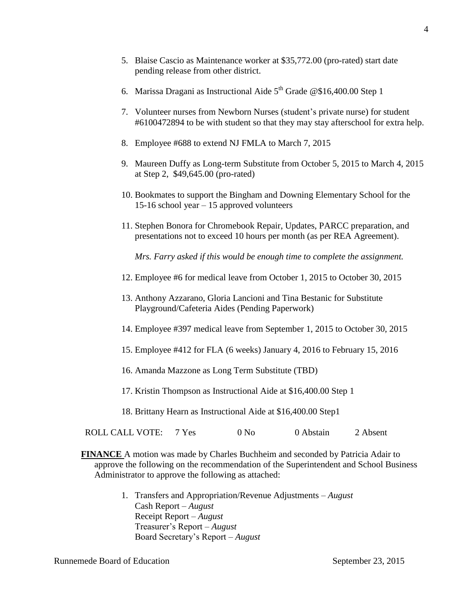- 5. Blaise Cascio as Maintenance worker at \$35,772.00 (pro-rated) start date pending release from other district.
- 6. Marissa Dragani as Instructional Aide  $5<sup>th</sup>$  Grade @\$16,400.00 Step 1
- 7. Volunteer nurses from Newborn Nurses (student's private nurse) for student #6100472894 to be with student so that they may stay afterschool for extra help.
- 8. Employee #688 to extend NJ FMLA to March 7, 2015
- 9. Maureen Duffy as Long-term Substitute from October 5, 2015 to March 4, 2015 at Step 2, \$49,645.00 (pro-rated)
- 10. Bookmates to support the Bingham and Downing Elementary School for the 15-16 school year – 15 approved volunteers
- 11. Stephen Bonora for Chromebook Repair, Updates, PARCC preparation, and presentations not to exceed 10 hours per month (as per REA Agreement).

*Mrs. Farry asked if this would be enough time to complete the assignment.* 

- 12. Employee #6 for medical leave from October 1, 2015 to October 30, 2015
- 13. Anthony Azzarano, Gloria Lancioni and Tina Bestanic for Substitute Playground/Cafeteria Aides (Pending Paperwork)
- 14. Employee #397 medical leave from September 1, 2015 to October 30, 2015
- 15. Employee #412 for FLA (6 weeks) January 4, 2016 to February 15, 2016
- 16. Amanda Mazzone as Long Term Substitute (TBD)
- 17. Kristin Thompson as Instructional Aide at \$16,400.00 Step 1
- 18. Brittany Hearn as Instructional Aide at \$16,400.00 Step1

|  | ROLL CALL VOTE: | 7 Yes | 0 N <sub>0</sub> | 0 Abstain | 2 Absent |
|--|-----------------|-------|------------------|-----------|----------|
|--|-----------------|-------|------------------|-----------|----------|

- **FINANCE** A motion was made by Charles Buchheim and seconded by Patricia Adair to approve the following on the recommendation of the Superintendent and School Business Administrator to approve the following as attached:
	- 1. Transfers and Appropriation/Revenue Adjustments *August* Cash Report – *August* Receipt Report – *August* Treasurer's Report – *August* Board Secretary's Report – *August*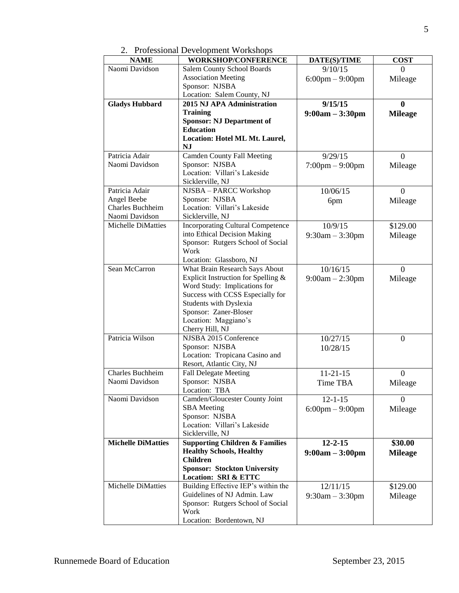2. Professional Development Workshops

| <b>NAME</b>               | <b>WORKSHOP/CONFERENCE</b>                     | DATE(S)/TIME                      | <b>COST</b>      |
|---------------------------|------------------------------------------------|-----------------------------------|------------------|
| Naomi Davidson            | Salem County School Boards                     | 9/10/15                           | $\Omega$         |
|                           | <b>Association Meeting</b>                     | $6:00 \text{pm} - 9:00 \text{pm}$ | Mileage          |
|                           | Sponsor: NJSBA                                 |                                   |                  |
|                           | Location: Salem County, NJ                     |                                   |                  |
| <b>Gladys Hubbard</b>     | 2015 NJ APA Administration                     | 9/15/15                           | $\mathbf{0}$     |
|                           | <b>Training</b>                                | $9:00am - 3:30pm$                 | <b>Mileage</b>   |
|                           | <b>Sponsor: NJ Department of</b>               |                                   |                  |
|                           | <b>Education</b>                               |                                   |                  |
|                           | Location: Hotel ML Mt. Laurel,<br><b>NJ</b>    |                                   |                  |
| Patricia Adair            | <b>Camden County Fall Meeting</b>              | 9/29/15                           | $\theta$         |
| Naomi Davidson            | Sponsor: NJSBA                                 | $7:00 \text{pm} - 9:00 \text{pm}$ | Mileage          |
|                           | Location: Villari's Lakeside                   |                                   |                  |
|                           | Sicklerville, NJ                               |                                   |                  |
| Patricia Adair            | NJSBA - PARCC Workshop                         | 10/06/15                          | $\theta$         |
| Angel Beebe               | Sponsor: NJSBA                                 | 6pm                               | Mileage          |
| <b>Charles Buchheim</b>   | Location: Villari's Lakeside                   |                                   |                  |
| Naomi Davidson            | Sicklerville, NJ                               |                                   |                  |
| Michelle DiMatties        | <b>Incorporating Cultural Competence</b>       | 10/9/15                           | \$129.00         |
|                           | into Ethical Decision Making                   | $9:30am - 3:30pm$                 | Mileage          |
|                           | Sponsor: Rutgers School of Social              |                                   |                  |
|                           | Work                                           |                                   |                  |
|                           | Location: Glassboro, NJ                        |                                   |                  |
| Sean McCarron             | What Brain Research Says About                 | 10/16/15                          | $\Omega$         |
|                           | Explicit Instruction for Spelling &            | $9:00am - 2:30pm$                 | Mileage          |
|                           | Word Study: Implications for                   |                                   |                  |
|                           | Success with CCSS Especially for               |                                   |                  |
|                           | Students with Dyslexia                         |                                   |                  |
|                           | Sponsor: Zaner-Bloser                          |                                   |                  |
|                           | Location: Maggiano's                           |                                   |                  |
|                           | Cherry Hill, NJ                                |                                   |                  |
| Patricia Wilson           | NJSBA 2015 Conference                          | 10/27/15                          | $\overline{0}$   |
|                           | Sponsor: NJSBA                                 | 10/28/15                          |                  |
|                           | Location: Tropicana Casino and                 |                                   |                  |
| Charles Buchheim          | Resort, Atlantic City, NJ                      | $11 - 21 - 15$                    | $\boldsymbol{0}$ |
| Naomi Davidson            | <b>Fall Delegate Meeting</b><br>Sponsor: NJSBA |                                   |                  |
|                           | Location: TBA                                  | Time TBA                          | Mileage          |
| Naomi Davidson            | Camden/Gloucester County Joint                 | $12 - 1 - 15$                     | $\Omega$         |
|                           | <b>SBA</b> Meeting                             | $6:00 \text{pm} - 9:00 \text{pm}$ | Mileage          |
|                           | Sponsor: NJSBA                                 |                                   |                  |
|                           | Location: Villari's Lakeside                   |                                   |                  |
|                           | Sicklerville, NJ                               |                                   |                  |
| <b>Michelle DiMatties</b> | <b>Supporting Children &amp; Families</b>      | $12 - 2 - 15$                     | \$30.00          |
|                           | <b>Healthy Schools, Healthy</b>                | $9:00am - 3:00pm$                 | <b>Mileage</b>   |
|                           | <b>Children</b>                                |                                   |                  |
|                           | <b>Sponsor: Stockton University</b>            |                                   |                  |
|                           | <b>Location: SRI &amp; ETTC</b>                |                                   |                  |
| Michelle DiMatties        | Building Effective IEP's within the            | 12/11/15                          | \$129.00         |
|                           | Guidelines of NJ Admin. Law                    | $9:30am - 3:30pm$                 | Mileage          |
|                           | Sponsor: Rutgers School of Social              |                                   |                  |
|                           | Work                                           |                                   |                  |
|                           | Location: Bordentown, NJ                       |                                   |                  |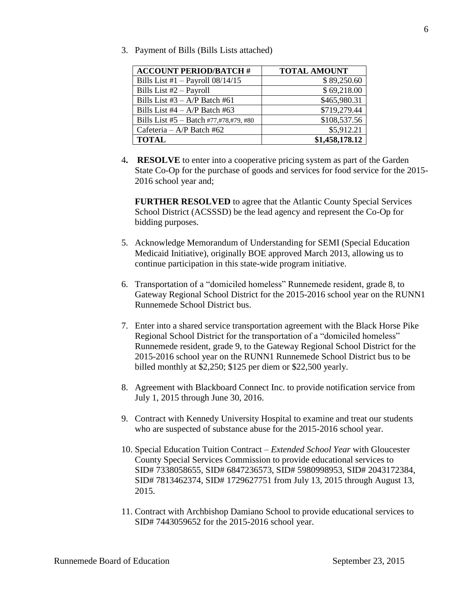3. Payment of Bills (Bills Lists attached)

| <b>ACCOUNT PERIOD/BATCH #</b>          | <b>TOTAL AMOUNT</b> |
|----------------------------------------|---------------------|
| Bills List #1 $-$ Payroll 08/14/15     | \$89,250.60         |
| Bills List #2 - Payroll                | \$69,218.00         |
| Bills List $#3 - A/P$ Batch $#61$      | \$465,980.31        |
| Bills List #4 $- A/P$ Batch #63        | \$719,279.44        |
| Bills List #5 - Batch #77,#78,#79, #80 | \$108,537.56        |
| Cafeteria – A/P Batch #62              | \$5,912.21          |
| <b>TOTAL</b>                           | \$1,458,178.12      |

4**. RESOLVE** to enter into a cooperative pricing system as part of the Garden State Co-Op for the purchase of goods and services for food service for the 2015- 2016 school year and;

**FURTHER RESOLVED** to agree that the Atlantic County Special Services School District (ACSSSD) be the lead agency and represent the Co-Op for bidding purposes.

- 5. Acknowledge Memorandum of Understanding for SEMI (Special Education Medicaid Initiative), originally BOE approved March 2013, allowing us to continue participation in this state-wide program initiative.
- 6. Transportation of a "domiciled homeless" Runnemede resident, grade 8, to Gateway Regional School District for the 2015-2016 school year on the RUNN1 Runnemede School District bus.
- 7. Enter into a shared service transportation agreement with the Black Horse Pike Regional School District for the transportation of a "domiciled homeless" Runnemede resident, grade 9, to the Gateway Regional School District for the 2015-2016 school year on the RUNN1 Runnemede School District bus to be billed monthly at \$2,250; \$125 per diem or \$22,500 yearly.
- 8. Agreement with Blackboard Connect Inc. to provide notification service from July 1, 2015 through June 30, 2016.
- 9. Contract with Kennedy University Hospital to examine and treat our students who are suspected of substance abuse for the 2015-2016 school year.
- 10. Special Education Tuition Contract *Extended School Year* with Gloucester County Special Services Commission to provide educational services to SID# 7338058655, SID# 6847236573, SID# 5980998953, SID# 2043172384, SID# 7813462374, SID# 1729627751 from July 13, 2015 through August 13, 2015.
- 11. Contract with Archbishop Damiano School to provide educational services to SID# 7443059652 for the 2015-2016 school year.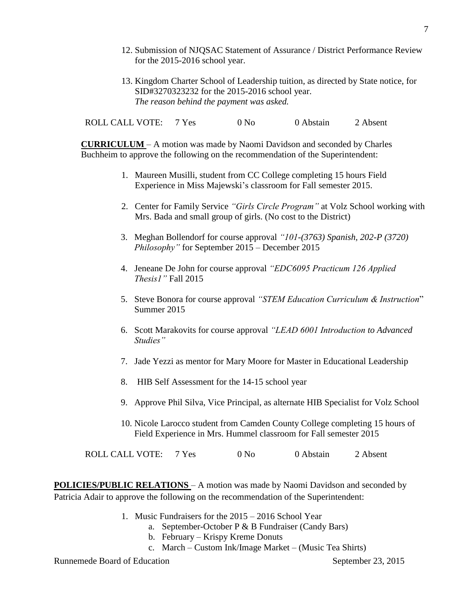- 12. Submission of NJQSAC Statement of Assurance / District Performance Review for the 2015-2016 school year.
- 13. Kingdom Charter School of Leadership tuition, as directed by State notice, for SID#3270323232 for the 2015-2016 school year. *The reason behind the payment was asked.*

ROLL CALL VOTE: 7 Yes 0 No 0 Abstain 2 Absent

**CURRICULUM** – A motion was made by Naomi Davidson and seconded by Charles Buchheim to approve the following on the recommendation of the Superintendent:

- 1. Maureen Musilli, student from CC College completing 15 hours Field Experience in Miss Majewski's classroom for Fall semester 2015.
- 2. Center for Family Service *"Girls Circle Program"* at Volz School working with Mrs. Bada and small group of girls. (No cost to the District)
- 3. Meghan Bollendorf for course approval *"101-(3763) Spanish, 202-P (3720) Philosophy"* for September 2015 – December 2015
- 4. Jeneane De John for course approval *"EDC6095 Practicum 126 Applied Thesis1"* Fall 2015
- 5. Steve Bonora for course approval *"STEM Education Curriculum & Instruction*" Summer 2015
- 6. Scott Marakovits for course approval *"LEAD 6001 Introduction to Advanced Studies"*
- 7. Jade Yezzi as mentor for Mary Moore for Master in Educational Leadership
- 8. HIB Self Assessment for the 14-15 school year
- 9. Approve Phil Silva, Vice Principal, as alternate HIB Specialist for Volz School
- 10. Nicole Larocco student from Camden County College completing 15 hours of Field Experience in Mrs. Hummel classroom for Fall semester 2015

ROLL CALL VOTE: 7 Yes 0 No 0 Abstain 2 Absent

**POLICIES/PUBLIC RELATIONS** – A motion was made by Naomi Davidson and seconded by Patricia Adair to approve the following on the recommendation of the Superintendent:

- 1. Music Fundraisers for the 2015 2016 School Year
	- a. September-October P & B Fundraiser (Candy Bars)
	- b. February Krispy Kreme Donuts
	- c. March Custom Ink/Image Market (Music Tea Shirts)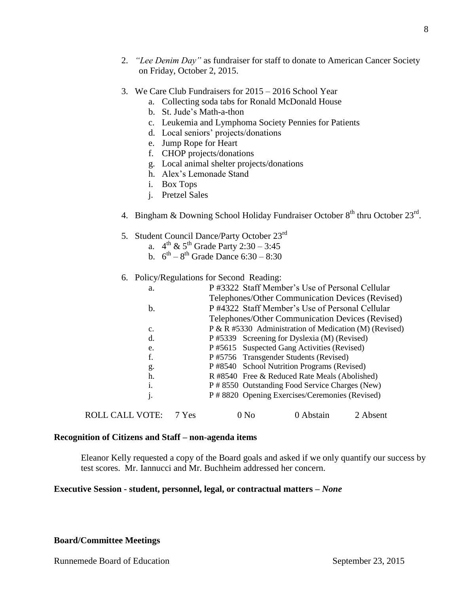- 2. *"Lee Denim Day"* as fundraiser for staff to donate to American Cancer Society on Friday, October 2, 2015.
- 3. We Care Club Fundraisers for 2015 2016 School Year
	- a. Collecting soda tabs for Ronald McDonald House
	- b. St. Jude's Math-a-thon
	- c. Leukemia and Lymphoma Society Pennies for Patients
	- d. Local seniors' projects/donations
	- e. Jump Rope for Heart
	- f. CHOP projects/donations
	- g. Local animal shelter projects/donations
	- h. Alex's Lemonade Stand
	- i. Box Tops
	- j. Pretzel Sales
- 4. Bingham & Downing School Holiday Fundraiser October  $8<sup>th</sup>$  thru October  $23<sup>rd</sup>$ .
- 5. Student Council Dance/Party October 23rd
	- a.  $4^{\text{th}} \& 5^{\text{th}}$  Grade Party 2:30 3:45
	- b.  $6^{th} 8^{th}$  Grade Dance 6:30 8:30
- 6. Policy/Regulations for Second Reading:

| a.                     |       | P#3322 Staff Member's Use of Personal Cellular         |           |          |  |  |
|------------------------|-------|--------------------------------------------------------|-----------|----------|--|--|
|                        |       | Telephones/Other Communication Devices (Revised)       |           |          |  |  |
| b.                     |       | P#4322 Staff Member's Use of Personal Cellular         |           |          |  |  |
|                        |       | Telephones/Other Communication Devices (Revised)       |           |          |  |  |
| c.                     |       | P & R #5330 Administration of Medication (M) (Revised) |           |          |  |  |
| d.                     |       | P #5339 Screening for Dyslexia (M) (Revised)           |           |          |  |  |
| e.                     |       | P#5615 Suspected Gang Activities (Revised)             |           |          |  |  |
| f.                     |       | P#5756 Transgender Students (Revised)                  |           |          |  |  |
| g.                     |       | P #8540 School Nutrition Programs (Revised)            |           |          |  |  |
| h.                     |       | R#8540 Free & Reduced Rate Meals (Abolished)           |           |          |  |  |
| 1.                     |       | P # 8550 Outstanding Food Service Charges (New)        |           |          |  |  |
| j.                     |       | P # 8820 Opening Exercises/Ceremonies (Revised)        |           |          |  |  |
| <b>ROLL CALL VOTE:</b> | 7 Yes | 0 N <sub>0</sub>                                       | 0 Abstain | 2 Absent |  |  |

#### **Recognition of Citizens and Staff – non-agenda items**

Eleanor Kelly requested a copy of the Board goals and asked if we only quantify our success by test scores. Mr. Iannucci and Mr. Buchheim addressed her concern.

#### **Executive Session - student, personnel, legal, or contractual matters –** *None*

**Board/Committee Meetings**

Runnemede Board of Education September 23, 2015